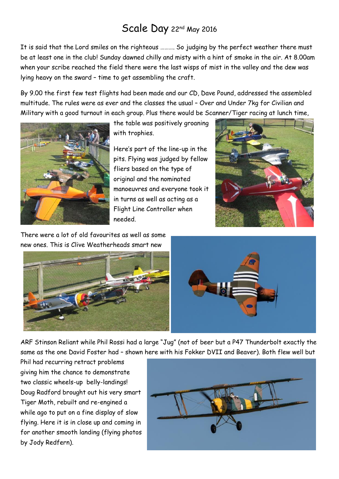# Scale Day 22<sup>nd</sup> May 2016

It is said that the Lord smiles on the righteous ………. So judging by the perfect weather there must be at least one in the club! Sunday dawned chilly and misty with a hint of smoke in the air. At 8.00am when your scribe reached the field there were the last wisps of mist in the valley and the dew was lying heavy on the sward – time to get assembling the craft.

By 9.00 the first few test flights had been made and our CD, Dave Pound, addressed the assembled multitude. The rules were as ever and the classes the usual – Over and Under 7kg for Civilian and Military with a good turnout in each group. Plus there would be Scanner/Tiger racing at lunch time,



the table was positively groaning with trophies.

Here's part of the line-up in the pits. Flying was judged by fellow fliers based on the type of original and the nominated manoeuvres and everyone took it in turns as well as acting as a Flight Line Controller when needed.



There were a lot of old favourites as well as some new ones. This is Clive Weatherheads smart new



ARF Stinson Reliant while Phil Rossi had a large "Jug" (not of beer but a P47 Thunderbolt exactly the same as the one David Foster had – shown here with his Fokker DVII and Beaver). Both flew well but

Phil had recurring retract problems giving him the chance to demonstrate two classic wheels-up belly-landings! Doug Radford brought out his very smart Tiger Moth, rebuilt and re-engined a while ago to put on a fine display of slow flying. Here it is in close up and coming in for another smooth landing (flying photos by Jody Redfern).

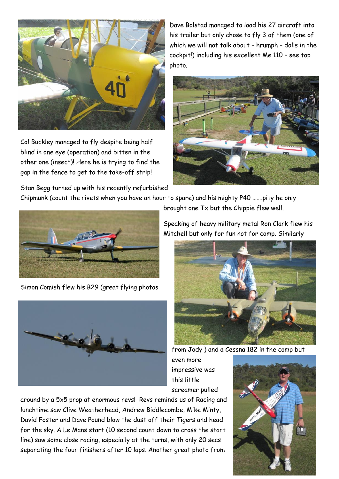

Col Buckley managed to fly despite being half blind in one eye (operation) and bitten in the other one (insect)! Here he is trying to find the gap in the fence to get to the take-off strip!

Stan Begg turned up with his recently refurbished

Dave Bolstad managed to load his 27 aircraft into his trailer but only chose to fly 3 of them (one of which we will not talk about – hrumph – dolls in the cockpit!) including his excellent Me 110 – see top photo.



Chipmunk (count the rivets when you have an hour to spare) and his mighty P40 …….pity he only



Simon Comish flew his B29 (great flying photos



Speaking of heavy military metal Ron Clark flew his Mitchell but only for fun not for comp. Similarly

brought one Tx but the Chippie flew well.



from Jody ) and a Cessna 182 in the comp but

even more impressive was this little screamer pulled

around by a 5x5 prop at enormous revs! Revs reminds us of Racing and lunchtime saw Clive Weatherhead, Andrew Biddlecombe, Mike Minty, David Foster and Dave Pound blow the dust off their Tigers and head for the sky. A Le Mans start (10 second count down to cross the start line) saw some close racing, especially at the turns, with only 20 secs separating the four finishers after 10 laps. Another great photo from

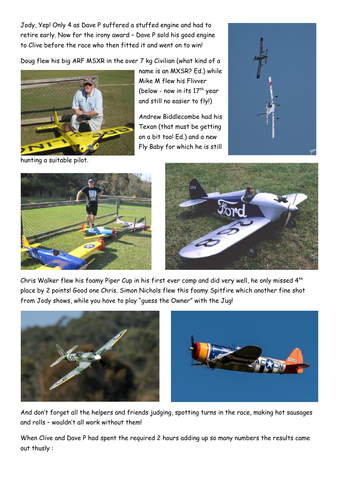Jody, Yep! Only 4 as Dave P suffered a stuffed engine and had to retire early. Now for the irony award – Dave P sold his good engine to Clive before the race who then fitted it and went on to win!

Doug flew his big ARF MSXR in the over 7 kg Civilian (what kind of a



hunting a suitable pilot.

name is an MXSR? Ed.) while Mike M flew his Flivver (below - now in its  $17<sup>th</sup>$  year and still no easier to fly!)

Andrew Biddlecombe had his Texan (that must be getting on a bit too! Ed.) and a new Fly Baby for which he is still







Chris Walker flew his foamy Piper Cup in his first ever comp and did very well, he only missed 4th place by 2 points! Good one Chris. Simon Nichols flew this foamy Spitfire which another fine shot from Jody shows, while you have to play "guess the Owner" with the Jug!





And don't forget all the helpers and friends judging, spotting turns in the race, making hot sausages and rolls – wouldn't all work without them!

When Clive and Dave P had spent the required 2 hours adding up so many numbers the results came out thusly :